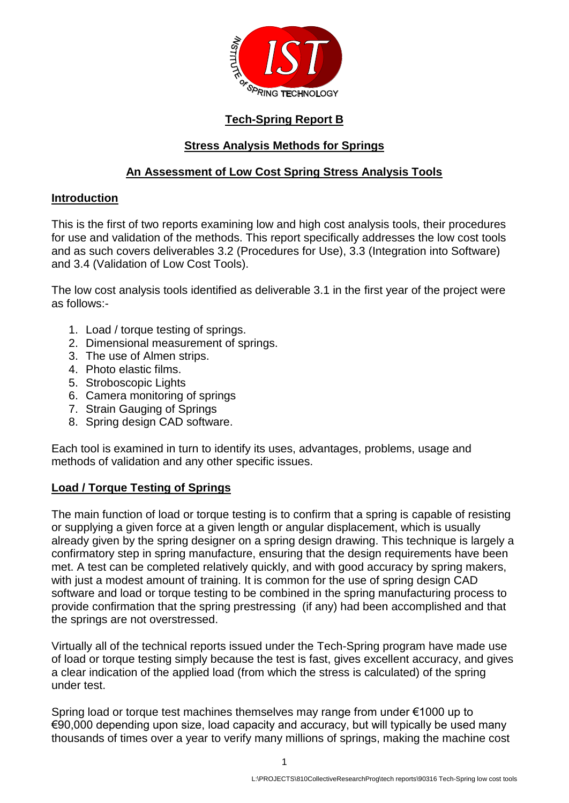

# **Tech-Spring Report B**

# **Stress Analysis Methods for Springs**

# **An Assessment of Low Cost Spring Stress Analysis Tools**

## **Introduction**

This is the first of two reports examining low and high cost analysis tools, their procedures for use and validation of the methods. This report specifically addresses the low cost tools and as such covers deliverables 3.2 (Procedures for Use), 3.3 (Integration into Software) and 3.4 (Validation of Low Cost Tools).

The low cost analysis tools identified as deliverable 3.1 in the first year of the project were as follows:-

- 1. Load / torque testing of springs.
- 2. Dimensional measurement of springs.
- 3. The use of Almen strips.
- 4. Photo elastic films.
- 5. Stroboscopic Lights
- 6. Camera monitoring of springs
- 7. Strain Gauging of Springs
- 8. Spring design CAD software.

Each tool is examined in turn to identify its uses, advantages, problems, usage and methods of validation and any other specific issues.

## **Load / Torque Testing of Springs**

The main function of load or torque testing is to confirm that a spring is capable of resisting or supplying a given force at a given length or angular displacement, which is usually already given by the spring designer on a spring design drawing. This technique is largely a confirmatory step in spring manufacture, ensuring that the design requirements have been met. A test can be completed relatively quickly, and with good accuracy by spring makers, with just a modest amount of training. It is common for the use of spring design CAD software and load or torque testing to be combined in the spring manufacturing process to provide confirmation that the spring prestressing (if any) had been accomplished and that the springs are not overstressed.

Virtually all of the technical reports issued under the Tech-Spring program have made use of load or torque testing simply because the test is fast, gives excellent accuracy, and gives a clear indication of the applied load (from which the stress is calculated) of the spring under test.

Spring load or torque test machines themselves may range from under €1000 up to  $€90,000$  depending upon size, load capacity and accuracy, but will typically be used many thousands of times over a year to verify many millions of springs, making the machine cost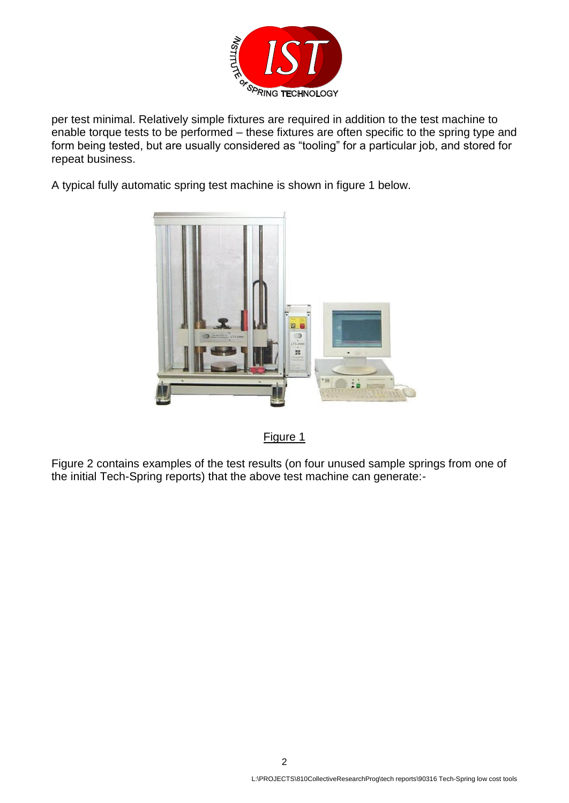

per test minimal. Relatively simple fixtures are required in addition to the test machine to enable torque tests to be performed – these fixtures are often specific to the spring type and form being tested, but are usually considered as "tooling" for a particular job, and stored for repeat business.

A typical fully automatic spring test machine is shown in figure 1 below.



Figure 1

Figure 2 contains examples of the test results (on four unused sample springs from one of the initial Tech-Spring reports) that the above test machine can generate:-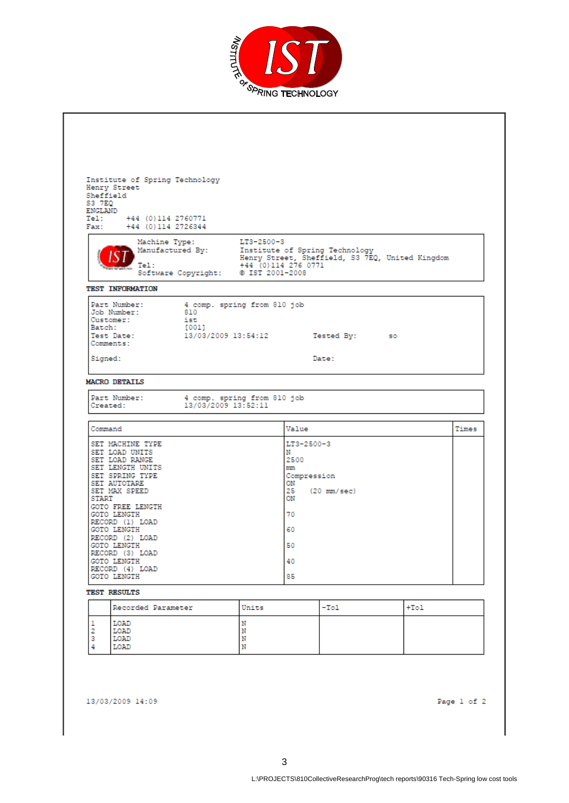

| Sheffield<br>S3 7EO<br><b>ENGLAND</b><br>Tel:<br>Fax: | Institute of Spring Technology<br>Henry Street<br>+44 (0)114 2760771<br>+44 (0)114 2726344                                                                                                                                                                                                                            |                                         |                                                    |                                                                                              |                                                                                   |           |        |       |
|-------------------------------------------------------|-----------------------------------------------------------------------------------------------------------------------------------------------------------------------------------------------------------------------------------------------------------------------------------------------------------------------|-----------------------------------------|----------------------------------------------------|----------------------------------------------------------------------------------------------|-----------------------------------------------------------------------------------|-----------|--------|-------|
|                                                       | Machine Type:<br>Tel:<br><b>CA FRA' MOV'S CYRIC</b>                                                                                                                                                                                                                                                                   | Manufactured By:<br>Software Copyright: | LT3-2500-3<br>@ IST 2001-2008                      | +44 (0)114 276 0771                                                                          | Institute of Spring Technology<br>Henry Street, Sheffield, S3 7EQ, United Kingdom |           |        |       |
|                                                       | TEST INFORMATION                                                                                                                                                                                                                                                                                                      |                                         |                                                    |                                                                                              |                                                                                   |           |        |       |
| Customer:<br>Batch:<br>Test Date:<br>Comments:        | Part Number:<br>Job Number:                                                                                                                                                                                                                                                                                           | 810<br>ist<br>[001]                     | 4 comp. spring from 810 job<br>13/03/2009 13:54:12 |                                                                                              | Tested By:                                                                        | <b>SO</b> |        |       |
| Signed:                                               |                                                                                                                                                                                                                                                                                                                       |                                         |                                                    |                                                                                              | Date:                                                                             |           |        |       |
| Created:                                              | Part Number:                                                                                                                                                                                                                                                                                                          | 13/03/2009 13:52:11                     | 4 comp. spring from 810 job                        |                                                                                              |                                                                                   |           |        |       |
| Command                                               |                                                                                                                                                                                                                                                                                                                       |                                         |                                                    | Value                                                                                        |                                                                                   |           |        | Times |
| START                                                 | SET MACHINE TYPE<br>SET LOAD UNITS<br>SET LOAD RANGE<br>SET LENGTH UNITS<br>SET SPRING TYPE<br>SET AUTOTARE<br>SET MAX SPEED<br><b>GOTO FREE LENGTH</b><br>GOTO LENGTH<br>RECORD (1) LOAD<br>GOTO LENGTH<br>RECORD (2) LOAD<br><b>GOTO LENGTH</b><br>RECORD (3) LOAD<br>GOTO LENGTH<br>RECORD (4) LOAD<br>GOTO LENGTH |                                         |                                                    | LT3-2500-3<br>Ν<br>2500<br>mm<br>Compression<br>ON<br>25<br>ON<br>70<br>60<br>50<br>40<br>85 | $(20 \text{ mm/sec})$                                                             |           |        |       |
|                                                       | <b>TEST RESULTS</b>                                                                                                                                                                                                                                                                                                   |                                         |                                                    |                                                                                              |                                                                                   |           |        |       |
| 1                                                     | Recorded Parameter<br>LOAD                                                                                                                                                                                                                                                                                            |                                         | Units<br>Ν                                         |                                                                                              | -Tol                                                                              |           | $+To1$ |       |

13/03/2009 14:09

Page  $1$  of  $2$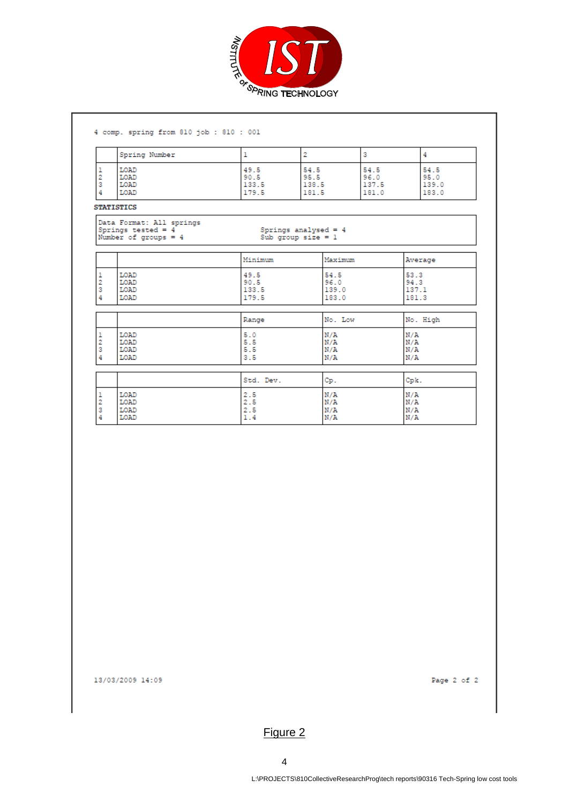

#### 4 comp. spring from 810 job : 810 : 001

|                         | Spring Number                                                              | ı                              | 2                                              | 3                              |                                | 4<br>54.5<br>95.0<br>139.0<br>183.0 |  |
|-------------------------|----------------------------------------------------------------------------|--------------------------------|------------------------------------------------|--------------------------------|--------------------------------|-------------------------------------|--|
| 1<br>2<br>3<br>4        | LOAD<br>LOAD<br>LOAD<br>LOAD                                               | 49.5<br>90.5<br>133.5<br>179.5 | 54.5<br>95.5<br>138.5<br>181.5                 | 54.5<br>96.0<br>137.5<br>181.0 |                                |                                     |  |
|                         | <b>STATISTICS</b>                                                          |                                |                                                |                                |                                |                                     |  |
|                         | Data Format: All springs<br>Springs tested = $4$<br>Number of groups = $4$ |                                | Springs analysed = $4$<br>Sub group size = $1$ |                                |                                |                                     |  |
|                         |                                                                            | Minimum                        |                                                | Maximum                        | Average                        |                                     |  |
| ı<br>$\frac{2}{3}$<br>4 | LOAD<br>LOAD<br>LOAD<br>LOAD                                               | 49.5<br>90.5<br>133.5<br>179.5 |                                                | 54.5<br>96.0<br>139.0<br>183.0 | 53.3<br>94.3<br>137.1<br>181.3 |                                     |  |
|                         |                                                                            | Range                          |                                                | No. Low                        |                                | No. High                            |  |
| 1<br>$\frac{2}{3}$<br>4 | LOAD<br>LOAD<br>LOAD<br><b>LOAD</b>                                        | 5.0<br>5.5<br>5.5<br>3.5       |                                                | N/A<br>N/A<br>N/A<br>N/A       | N/A<br>N/A<br>N/A<br>N/A       |                                     |  |
|                         |                                                                            | Std. Dev.                      |                                                | Cp.                            | Cpk.                           |                                     |  |
| ı<br>2<br>3<br>4        | LOAD<br>LOAD<br>LOAD<br>LOAD                                               | 2.5<br>2.5<br>2.5<br>1.4       |                                                | N/A<br>N/A<br>N/A<br>N/A       | N/A<br>N/A<br>$N/\Lambda$      | N/A                                 |  |

13/03/2009 14:09

Page 2 of 2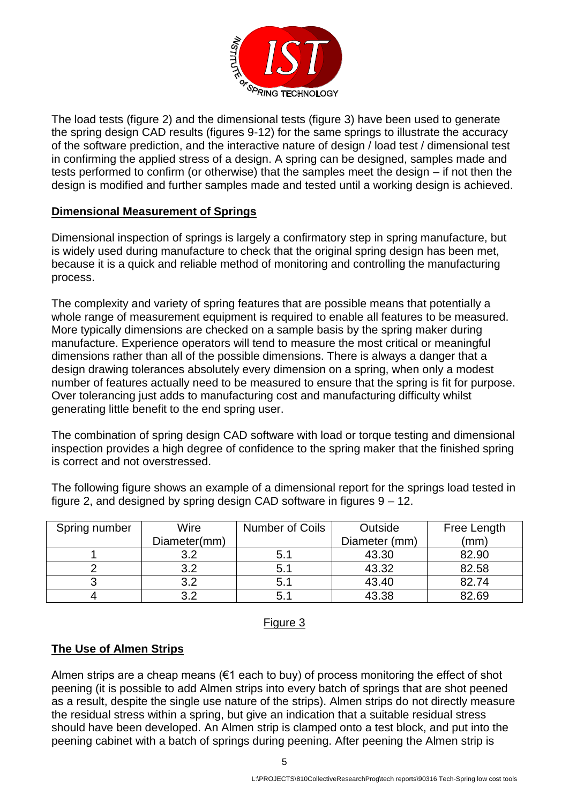

The load tests (figure 2) and the dimensional tests (figure 3) have been used to generate the spring design CAD results (figures 9-12) for the same springs to illustrate the accuracy of the software prediction, and the interactive nature of design / load test / dimensional test in confirming the applied stress of a design. A spring can be designed, samples made and tests performed to confirm (or otherwise) that the samples meet the design – if not then the design is modified and further samples made and tested until a working design is achieved.

## **Dimensional Measurement of Springs**

Dimensional inspection of springs is largely a confirmatory step in spring manufacture, but is widely used during manufacture to check that the original spring design has been met, because it is a quick and reliable method of monitoring and controlling the manufacturing process.

The complexity and variety of spring features that are possible means that potentially a whole range of measurement equipment is required to enable all features to be measured. More typically dimensions are checked on a sample basis by the spring maker during manufacture. Experience operators will tend to measure the most critical or meaningful dimensions rather than all of the possible dimensions. There is always a danger that a design drawing tolerances absolutely every dimension on a spring, when only a modest number of features actually need to be measured to ensure that the spring is fit for purpose. Over tolerancing just adds to manufacturing cost and manufacturing difficulty whilst generating little benefit to the end spring user.

The combination of spring design CAD software with load or torque testing and dimensional inspection provides a high degree of confidence to the spring maker that the finished spring is correct and not overstressed.

The following figure shows an example of a dimensional report for the springs load tested in figure 2, and designed by spring design CAD software in figures 9 – 12.

| Spring number | Wire         | Number of Coils | Outside       | Free Length |  |
|---------------|--------------|-----------------|---------------|-------------|--|
|               | Diameter(mm) |                 | Diameter (mm) | (mm)        |  |
|               | 3.2          | 5.              | 43.30         | 82.90       |  |
|               | າ າ          | 5.              | 43.32         | 82.58       |  |
|               | 3.2          |                 | 43.40         | 82.74       |  |
|               | າ າ          |                 | 43.38         | 82.69       |  |

#### Figure 3

#### **The Use of Almen Strips**

Almen strips are a cheap means ( $\epsilon$ 1 each to buy) of process monitoring the effect of shot peening (it is possible to add Almen strips into every batch of springs that are shot peened as a result, despite the single use nature of the strips). Almen strips do not directly measure the residual stress within a spring, but give an indication that a suitable residual stress should have been developed. An Almen strip is clamped onto a test block, and put into the peening cabinet with a batch of springs during peening. After peening the Almen strip is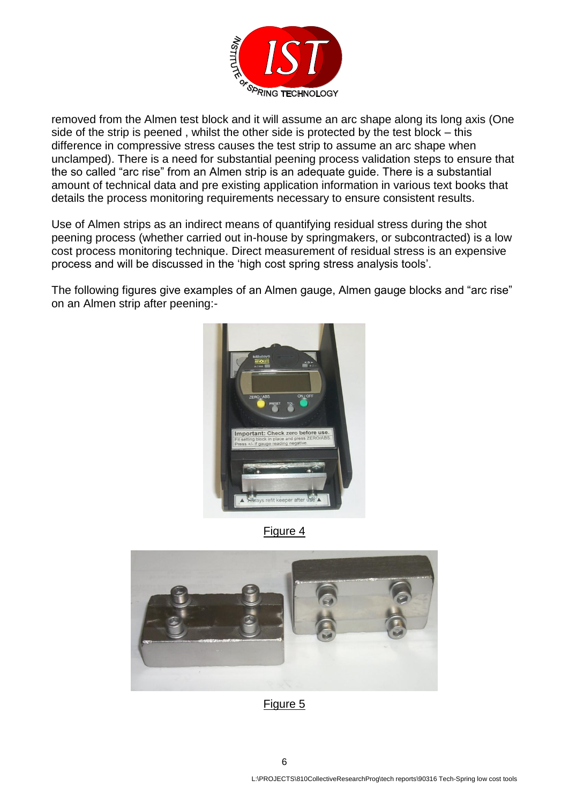

removed from the Almen test block and it will assume an arc shape along its long axis (One side of the strip is peened , whilst the other side is protected by the test block – this difference in compressive stress causes the test strip to assume an arc shape when unclamped). There is a need for substantial peening process validation steps to ensure that the so called "arc rise" from an Almen strip is an adequate guide. There is a substantial amount of technical data and pre existing application information in various text books that details the process monitoring requirements necessary to ensure consistent results.

Use of Almen strips as an indirect means of quantifying residual stress during the shot peening process (whether carried out in-house by springmakers, or subcontracted) is a low cost process monitoring technique. Direct measurement of residual stress is an expensive process and will be discussed in the "high cost spring stress analysis tools".

The following figures give examples of an Almen gauge, Almen gauge blocks and "arc rise" on an Almen strip after peening:-





Figure 5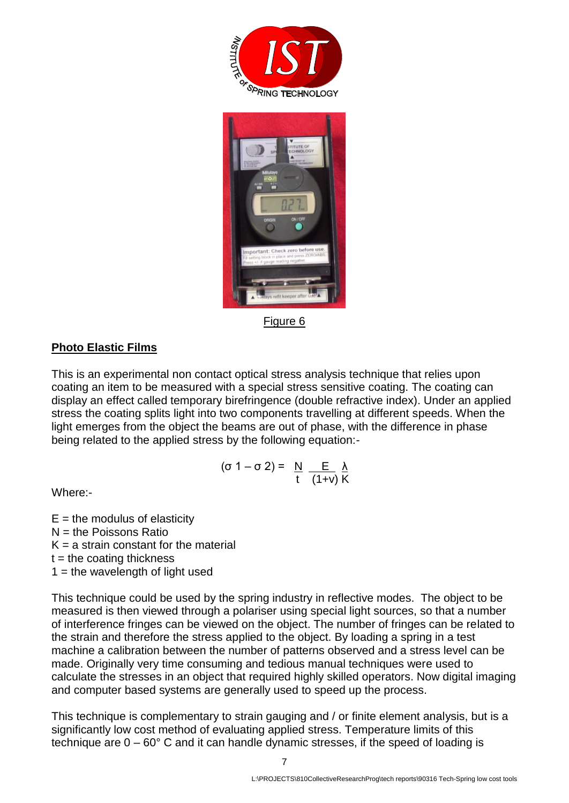



Figure 6

## **Photo Elastic Films**

This is an experimental non contact optical stress analysis technique that relies upon coating an item to be measured with a special stress sensitive coating. The coating can display an effect called temporary birefringence (double refractive index). Under an applied stress the coating splits light into two components travelling at different speeds. When the light emerges from the object the beams are out of phase, with the difference in phase being related to the applied stress by the following equation:-

$$
(\sigma 1 - \sigma 2) = \frac{N}{t} \frac{E}{(1+v)} \frac{\lambda}{K}
$$

Where:-

 $E =$  the modulus of elasticity  $N =$  the Poissons Ratio  $K = a$  strain constant for the material  $t =$  the coating thickness  $1 =$  the wavelength of light used

This technique could be used by the spring industry in reflective modes. The object to be measured is then viewed through a polariser using special light sources, so that a number of interference fringes can be viewed on the object. The number of fringes can be related to the strain and therefore the stress applied to the object. By loading a spring in a test machine a calibration between the number of patterns observed and a stress level can be made. Originally very time consuming and tedious manual techniques were used to calculate the stresses in an object that required highly skilled operators. Now digital imaging and computer based systems are generally used to speed up the process.

This technique is complementary to strain gauging and / or finite element analysis, but is a significantly low cost method of evaluating applied stress. Temperature limits of this technique are  $0 - 60^{\circ}$  C and it can handle dynamic stresses, if the speed of loading is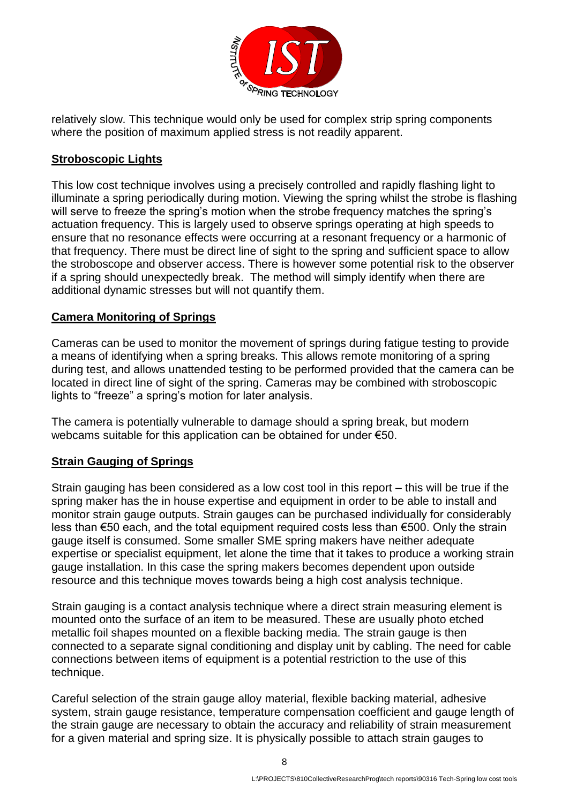

relatively slow. This technique would only be used for complex strip spring components where the position of maximum applied stress is not readily apparent.

## **Stroboscopic Lights**

This low cost technique involves using a precisely controlled and rapidly flashing light to illuminate a spring periodically during motion. Viewing the spring whilst the strobe is flashing will serve to freeze the spring's motion when the strobe frequency matches the spring's actuation frequency. This is largely used to observe springs operating at high speeds to ensure that no resonance effects were occurring at a resonant frequency or a harmonic of that frequency. There must be direct line of sight to the spring and sufficient space to allow the stroboscope and observer access. There is however some potential risk to the observer if a spring should unexpectedly break. The method will simply identify when there are additional dynamic stresses but will not quantify them.

## **Camera Monitoring of Springs**

Cameras can be used to monitor the movement of springs during fatigue testing to provide a means of identifying when a spring breaks. This allows remote monitoring of a spring during test, and allows unattended testing to be performed provided that the camera can be located in direct line of sight of the spring. Cameras may be combined with stroboscopic lights to "freeze" a spring's motion for later analysis.

The camera is potentially vulnerable to damage should a spring break, but modern webcams suitable for this application can be obtained for under €50.

#### **Strain Gauging of Springs**

Strain gauging has been considered as a low cost tool in this report – this will be true if the spring maker has the in house expertise and equipment in order to be able to install and monitor strain gauge outputs. Strain gauges can be purchased individually for considerably less than €50 each, and the total equipment required costs less than €500. Only the strain gauge itself is consumed. Some smaller SME spring makers have neither adequate expertise or specialist equipment, let alone the time that it takes to produce a working strain gauge installation. In this case the spring makers becomes dependent upon outside resource and this technique moves towards being a high cost analysis technique.

Strain gauging is a contact analysis technique where a direct strain measuring element is mounted onto the surface of an item to be measured. These are usually photo etched metallic foil shapes mounted on a flexible backing media. The strain gauge is then connected to a separate signal conditioning and display unit by cabling. The need for cable connections between items of equipment is a potential restriction to the use of this technique.

Careful selection of the strain gauge alloy material, flexible backing material, adhesive system, strain gauge resistance, temperature compensation coefficient and gauge length of the strain gauge are necessary to obtain the accuracy and reliability of strain measurement for a given material and spring size. It is physically possible to attach strain gauges to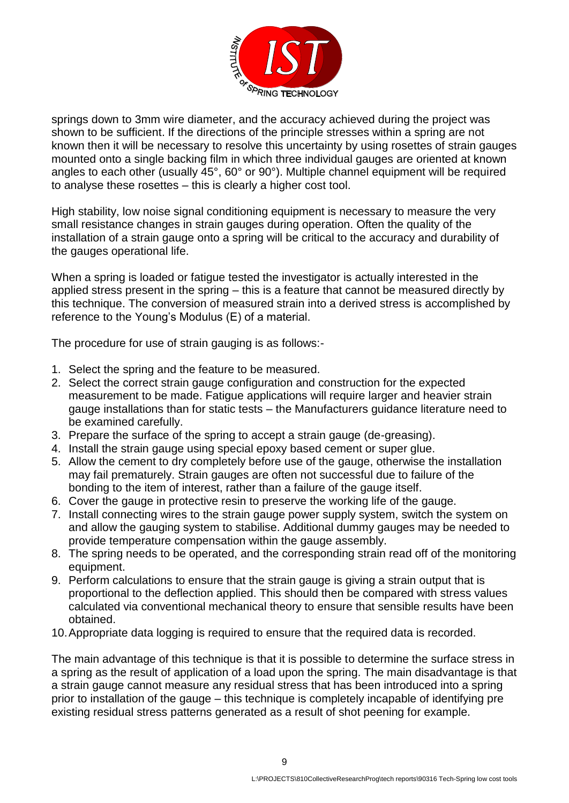

springs down to 3mm wire diameter, and the accuracy achieved during the project was shown to be sufficient. If the directions of the principle stresses within a spring are not known then it will be necessary to resolve this uncertainty by using rosettes of strain gauges mounted onto a single backing film in which three individual gauges are oriented at known angles to each other (usually 45°, 60° or 90°). Multiple channel equipment will be required to analyse these rosettes – this is clearly a higher cost tool.

High stability, low noise signal conditioning equipment is necessary to measure the very small resistance changes in strain gauges during operation. Often the quality of the installation of a strain gauge onto a spring will be critical to the accuracy and durability of the gauges operational life.

When a spring is loaded or fatigue tested the investigator is actually interested in the applied stress present in the spring – this is a feature that cannot be measured directly by this technique. The conversion of measured strain into a derived stress is accomplished by reference to the Young"s Modulus (E) of a material.

The procedure for use of strain gauging is as follows:-

- 1. Select the spring and the feature to be measured.
- 2. Select the correct strain gauge configuration and construction for the expected measurement to be made. Fatigue applications will require larger and heavier strain gauge installations than for static tests – the Manufacturers guidance literature need to be examined carefully.
- 3. Prepare the surface of the spring to accept a strain gauge (de-greasing).
- 4. Install the strain gauge using special epoxy based cement or super glue.
- 5. Allow the cement to dry completely before use of the gauge, otherwise the installation may fail prematurely. Strain gauges are often not successful due to failure of the bonding to the item of interest, rather than a failure of the gauge itself.
- 6. Cover the gauge in protective resin to preserve the working life of the gauge.
- 7. Install connecting wires to the strain gauge power supply system, switch the system on and allow the gauging system to stabilise. Additional dummy gauges may be needed to provide temperature compensation within the gauge assembly.
- 8. The spring needs to be operated, and the corresponding strain read off of the monitoring equipment.
- 9. Perform calculations to ensure that the strain gauge is giving a strain output that is proportional to the deflection applied. This should then be compared with stress values calculated via conventional mechanical theory to ensure that sensible results have been obtained.
- 10.Appropriate data logging is required to ensure that the required data is recorded.

The main advantage of this technique is that it is possible to determine the surface stress in a spring as the result of application of a load upon the spring. The main disadvantage is that a strain gauge cannot measure any residual stress that has been introduced into a spring prior to installation of the gauge – this technique is completely incapable of identifying pre existing residual stress patterns generated as a result of shot peening for example.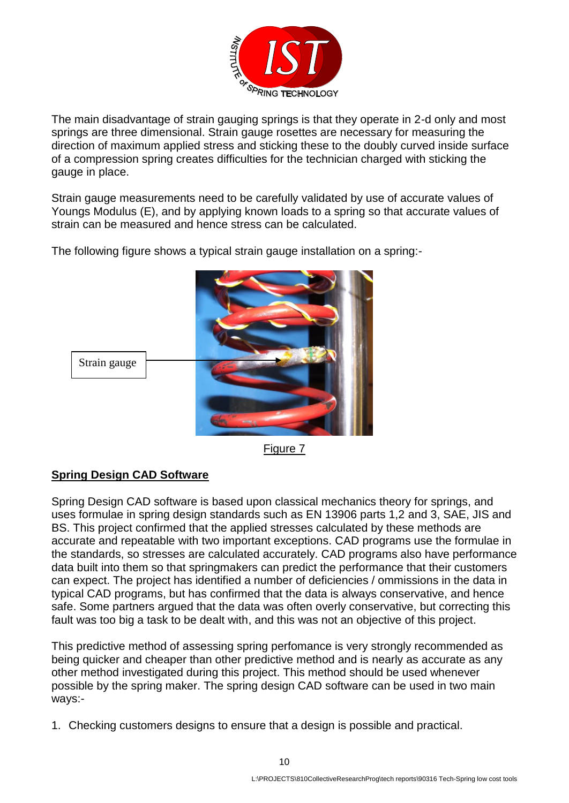

The main disadvantage of strain gauging springs is that they operate in 2-d only and most springs are three dimensional. Strain gauge rosettes are necessary for measuring the direction of maximum applied stress and sticking these to the doubly curved inside surface of a compression spring creates difficulties for the technician charged with sticking the gauge in place.

Strain gauge measurements need to be carefully validated by use of accurate values of Youngs Modulus (E), and by applying known loads to a spring so that accurate values of strain can be measured and hence stress can be calculated.

The following figure shows a typical strain gauge installation on a spring:-



Figure 7

## **Spring Design CAD Software**

Spring Design CAD software is based upon classical mechanics theory for springs, and uses formulae in spring design standards such as EN 13906 parts 1,2 and 3, SAE, JIS and BS. This project confirmed that the applied stresses calculated by these methods are accurate and repeatable with two important exceptions. CAD programs use the formulae in the standards, so stresses are calculated accurately. CAD programs also have performance data built into them so that springmakers can predict the performance that their customers can expect. The project has identified a number of deficiencies / ommissions in the data in typical CAD programs, but has confirmed that the data is always conservative, and hence safe. Some partners argued that the data was often overly conservative, but correcting this fault was too big a task to be dealt with, and this was not an objective of this project.

This predictive method of assessing spring perfomance is very strongly recommended as being quicker and cheaper than other predictive method and is nearly as accurate as any other method investigated during this project. This method should be used whenever possible by the spring maker. The spring design CAD software can be used in two main ways:-

1. Checking customers designs to ensure that a design is possible and practical.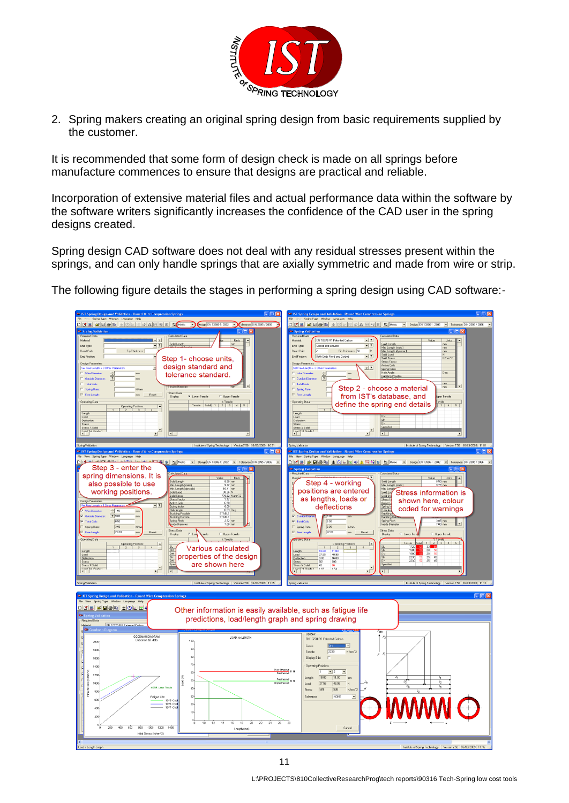

2. Spring makers creating an original spring design from basic requirements supplied by the customer.

It is recommended that some form of design check is made on all springs before manufacture commences to ensure that designs are practical and reliable.

Incorporation of extensive material files and actual performance data within the software by the software writers significantly increases the confidence of the CAD user in the spring designs created.

Spring design CAD software does not deal with any residual stresses present within the springs, and can only handle springs that are axially symmetric and made from wire or strip.

The following figure details the stages in performing a spring design using CAD software:-

| $\Box$ ox<br><sup>38</sup> IST Spring Design and Validation - Round Wire Compression Springs                                                                                                                                                                                                                                                                                                                                                                                                                                                                                                                                                                                                                                                                                                                                                                                                                                                                                                                                                                                                                                                                                                                                                                                                                                                                           | <sup>83</sup> IST Spring Design and Validation - Round Wire Compression Springs<br>cias                                                                                                                                                                                                                                                                                                                                                                                                                                                                                                                                                                                                                                                                                                                                                                                                                                                                                                                                                                                                                                                                                                                                                                                                                                                                                                                                                                                                                                                                                              |
|------------------------------------------------------------------------------------------------------------------------------------------------------------------------------------------------------------------------------------------------------------------------------------------------------------------------------------------------------------------------------------------------------------------------------------------------------------------------------------------------------------------------------------------------------------------------------------------------------------------------------------------------------------------------------------------------------------------------------------------------------------------------------------------------------------------------------------------------------------------------------------------------------------------------------------------------------------------------------------------------------------------------------------------------------------------------------------------------------------------------------------------------------------------------------------------------------------------------------------------------------------------------------------------------------------------------------------------------------------------------|--------------------------------------------------------------------------------------------------------------------------------------------------------------------------------------------------------------------------------------------------------------------------------------------------------------------------------------------------------------------------------------------------------------------------------------------------------------------------------------------------------------------------------------------------------------------------------------------------------------------------------------------------------------------------------------------------------------------------------------------------------------------------------------------------------------------------------------------------------------------------------------------------------------------------------------------------------------------------------------------------------------------------------------------------------------------------------------------------------------------------------------------------------------------------------------------------------------------------------------------------------------------------------------------------------------------------------------------------------------------------------------------------------------------------------------------------------------------------------------------------------------------------------------------------------------------------------------|
| Spring Type Window Language Help<br>D F B G B B B L U U U U U A H S L Metic D Design EN 13906-1: 2002 V Gerance DIN 2005 / 2016<br><b>BD</b> Spring Validatio<br>Calculated Data<br>Required Data<br>$\overline{.}$<br>Material<br><b>Units</b><br>old Length<br>End Type<br>$-2$<br>Tip Thickness:<br>Dead Cole<br><b>End Fixation</b><br>Step 1- choose units.<br>Design Paran<br>design standard and<br>tolerance standard.<br>$\overline{?}$<br><b>Outside Dian</b><br><b>Total Colt</b><br>Spring Rate<br>$N$ /mm<br>Stress Data<br>Free Length<br>Repet<br><b>C</b> Lower Tensie<br>C Upper Tensile<br><b>Display</b><br><b>Operating Data</b><br><b>Operating Positic</b><br>Length<br>Load<br>Deflection<br>dress<br>Stress % Solid<br>I nad Tol Grade 1<br>$\frac{1}{2}$<br>$\overline{\mathbf{H}}$                                                                                                                                                                                                                                                                                                                                                                                                                                                                                                                                                           | Spring Type Window Language Help<br>D F B B B B B E H O C C O B B B B E M O C V Design EN 13906-1: 2002 V Tolerance DIN 2095/2096<br><b>49 Spring Validation</b><br>alculated Data<br>Required Data<br>$-7$<br>EN 10270 Pt1 Patented Carbon<br>Material<br>Units<br>olid Length<br>$-2$<br>End Type<br>Closed and Ground<br>Min. Length [static]<br>mm<br>Tip Thickness: 50<br>Dead Coix<br>$\mathcal{H}$<br>Min. Length (dynamic<br>Solid Load<br>$-2$<br>End Fixation<br>Both Ends Fixed and Guided<br>$N/mm^22$<br>olid Stres<br>itress Fac<br>Design Para<br>Active Coils<br>$-7$<br>ee Length<br>Spring Inde<br>Helix Angle<br>Deg<br><b>West Dist</b><br>eide<br>Buckling Po<br>$\overline{?}$<br><b>Outside Diamete</b><br>mm<br><b>Total Coils</b><br>Step 2 - choose a material<br>Spring Rate<br>Free Length<br>from IST's database, and<br>per Tensile<br><b>Operating Data</b><br>ensie<br>define the spring end details<br>3   4   5  <br>Length<br>bao.<br>Deflection<br>divos<br>Stress % Solid<br>I nad Tol Grade 1<br>$\mathbf{E}$<br>$\overline{1}$                                                                                                                                                                                                                                                                                                                                                                                                                                                                                                                |
| Institute of Spring Technology   Version 7.50   16/03/2009   10:31<br>Spring Validation<br>$\Box$ ek<br>ST Spring Design and Validation - Round Wire Compression Springs                                                                                                                                                                                                                                                                                                                                                                                                                                                                                                                                                                                                                                                                                                                                                                                                                                                                                                                                                                                                                                                                                                                                                                                               | Version 7.50 16/03/2009 11:01<br>Spring Validatio<br>Institute of Spring Technology<br>$\Box$ ok<br><sup>63</sup> IST Spring Design and Validation - Round Wire Compression Spring                                                                                                                                                                                                                                                                                                                                                                                                                                                                                                                                                                                                                                                                                                                                                                                                                                                                                                                                                                                                                                                                                                                                                                                                                                                                                                                                                                                                   |
| View Spring Type Window Language Help<br>Digital electronical substitution<br>ALCOHOLOGIS   ET Metric<br>Design EN 13906-1: 2002 - Tolerance DIN 2095 / 2096<br>Step 3 - enter the<br><b>IEK</b><br>spring dimensions. It is<br>Units<br>Sold Length<br>also possible to use<br>$9.77$ mm<br>Min. Length (static)<br>10.41 m<br>Min. Length (dynamic)<br>working positions.<br>baoJ biki<br>olid Stre<br>779.52 N/mm <sup>2</sup><br>tress Factor<br>Design Parame<br>6.50<br>clive Colt<br>$-7$<br>.<br>ROD<br>ipring Index<br>$\frac{1}{100}$<br>663 Deg<br>łekk Angle<br>West Diame<br>Buckling Possible<br><b>STARLE</b><br>7 9.00<br><b>Outside Diameter</b><br>mm<br>STABLE<br><b>Suckling Definite</b><br>R50<br><b>Total Colls</b><br>ipring Pitch<br>side Diame<br>292m<br>7.00n<br>306<br>Spring Rate<br>N/m<br>Stress Data:<br>[21.0]<br><b>Free Length</b><br>Reset<br>$G_{\perp n}$<br>C Upper Tensie<br>Display.<br><b>Operating Data:</b><br>$\chi$ Tensi<br>⊥∸<br><b>Operating Positions</b><br>$rac{\text{SL}}{\text{SM}}$<br>Various calculated<br>$3 \mid 4$<br>$\mathbf{1}$<br>Length<br>$\frac{DM}{SH}$<br>Load<br>properties of the design<br>effection<br>asasi<br>are shown here<br>Spe<br>tress % Solid<br>الن<br>$\frac{1}{2}$<br>$\overline{\bullet}$<br>Institute of Spring Technology   Version 7.50   16/03/2009   11:05<br>na Validatio | File View SpringType Window Language Hel<br>$\text{D}[\text{C} \text{E}]\cong  \text{H}[\oplus]\oplus \text{H} \pm \text{O}[\text{E} \oplus \text{O} \text{H} \text{H} \text{S} \text{H} \text{M}^{\text{mic}}]$<br>Design EN 13906-1: 2002 - Tolerance DIN 2095 / 2096<br>$\Box$ DIX<br>69 Spring Validation<br>Required Data<br>alculated Data<br>$ $ Units $ $ $\sim$<br>Solid Length<br>Step 4 - working<br>$\frac{0.00}{0.77}$ mm<br>Min. Length (stati<br>positions are entered<br><b>Stress information is</b><br>Solid Li<br>Solid St<br>as lengths, loads or<br>Stress F<br>shown here, colour<br>Active I<br>deflections<br>Spring In<br>coded for warnings<br>Helix Ar<br>Bucking<br>$\overline{v}$<br>Outside D<br>3.85 mm<br>$R$ 50<br>Spring Pitch<br>Inside Diam<br>$\overline{\mathbf{v}}$<br><b>Total Cold</b><br>$\  \cdot \ $<br>$\overline{306}$<br>Spring Rate<br>Millenni<br>Stress Data<br>27.00<br>Free Length<br>Reset<br>G Lower Ter<br>C Upper Tensile<br>Display<br>erating Data<br>Tensile Sold 1 2 3 4 5 4<br>1720 67 33 58<br>1990 59 28 50<br>⊥∸<br><b>Operating Positions</b><br>$\overline{\mathbf{3}}$<br>$\Delta$<br>$\frac{28}{28}$<br>$\frac{25}{25}$<br>$\frac{50}{50}$<br>18.00<br>27.55<br>$\frac{11.00}{48.98}$<br>Length<br>1980<br>Load<br>45<br>9.00<br>16.00<br>2230<br>effection<br>$\frac{52}{52}$<br>45<br>2230<br>ĎН<br>561<br>dress<br>998<br>Stress % Solid<br>49<br>1R4<br>$\frac{1}{162}$<br>$\mathbf{u}^{\mathbf{u}}$<br>$\blacksquare$<br>Institute of Spring Technology   Version 7.50 16/03/2009 11:13<br>Spring Validatio |
| <b>89 IST Spring Design and Validation - Round Wire Compression Springs</b>                                                                                                                                                                                                                                                                                                                                                                                                                                                                                                                                                                                                                                                                                                                                                                                                                                                                                                                                                                                                                                                                                                                                                                                                                                                                                            | Cox                                                                                                                                                                                                                                                                                                                                                                                                                                                                                                                                                                                                                                                                                                                                                                                                                                                                                                                                                                                                                                                                                                                                                                                                                                                                                                                                                                                                                                                                                                                                                                                  |
| View SpringType Window Language Help<br>$D[G _{{\mathbb{Z}}}] \cong [H \oplus _{{\mathbb{R}}}] \pm [\mathbb{Q}[\underline{\ltimes}]\boxtimes]_{{\mathbb{Z}}}]$<br>Other information is easily available, such as fatigue life<br><b>Ca</b> Spring Validatio<br>predictions, load/length graph and spring drawing<br>Required Data<br>EN 10270 Pd. Paterhed Carlos                                                                                                                                                                                                                                                                                                                                                                                                                                                                                                                                                                                                                                                                                                                                                                                                                                                                                                                                                                                                      | r.                                                                                                                                                                                                                                                                                                                                                                                                                                                                                                                                                                                                                                                                                                                                                                                                                                                                                                                                                                                                                                                                                                                                                                                                                                                                                                                                                                                                                                                                                                                                                                                   |
| GOODMAN DIAGRAM<br>LOAD vs LENGTH<br><b>Based on IST data</b><br>100<br>2000<br>$90 -$<br>1800<br>80<br>1600<br>70<br>1400<br>Over-Stressed 61 N<br>60<br>1200<br>$\cos(\theta)$<br>60<br>1000<br>Linprestresse<br>inal Stress<br><b>NOTE: Lower Tencils</b><br>$40 -$<br>800<br>30<br>Fatigue Life<br>600<br>10 <sup>n</sup> 5 Cv<br>10°6 Cy<br>$20\,$<br>10*7 Cy<br>400<br>10 <sup>1</sup><br>200<br>$^{0+}_{8}$<br>$\overline{22}$<br>$10^{-1}$<br>12<br>14<br>16<br>20<br>$-24$<br>26<br>18<br>200<br>$400 -$<br>600<br>600<br>1000 1200<br>1400<br>Length (mm)<br>Initial Stress (N/mm*2)                                                                                                                                                                                                                                                                                                                                                                                                                                                                                                                                                                                                                                                                                                                                                                         | $\bar{r}_2$<br>EN 10270 Pt1 Patented Carbon<br>E<br>Grade:<br>$\sqrt{2230}$<br>$N/mm^2$<br>Tongile<br>Display Grid:<br><b>Operating Positions</b><br>$\mathbf{1}$<br>$-12$<br>$\overline{\phantom{a}}$<br>18.00<br>11.00<br>Length<br>mn<br>Prestressed <sub>49</sub><br>27.55<br>48.98<br>$\sf N$<br>Load<br>938<br>Stress:<br>56<br>N/mm <sup>22</sup><br>NONE<br>$\overline{\phantom{a}}$<br>Tolerance<br>Cancel                                                                                                                                                                                                                                                                                                                                                                                                                                                                                                                                                                                                                                                                                                                                                                                                                                                                                                                                                                                                                                                                                                                                                                  |
| Load / Length Graph                                                                                                                                                                                                                                                                                                                                                                                                                                                                                                                                                                                                                                                                                                                                                                                                                                                                                                                                                                                                                                                                                                                                                                                                                                                                                                                                                    | Institute of Spring Technology   Version 7.50   16/03/2009   11:16                                                                                                                                                                                                                                                                                                                                                                                                                                                                                                                                                                                                                                                                                                                                                                                                                                                                                                                                                                                                                                                                                                                                                                                                                                                                                                                                                                                                                                                                                                                   |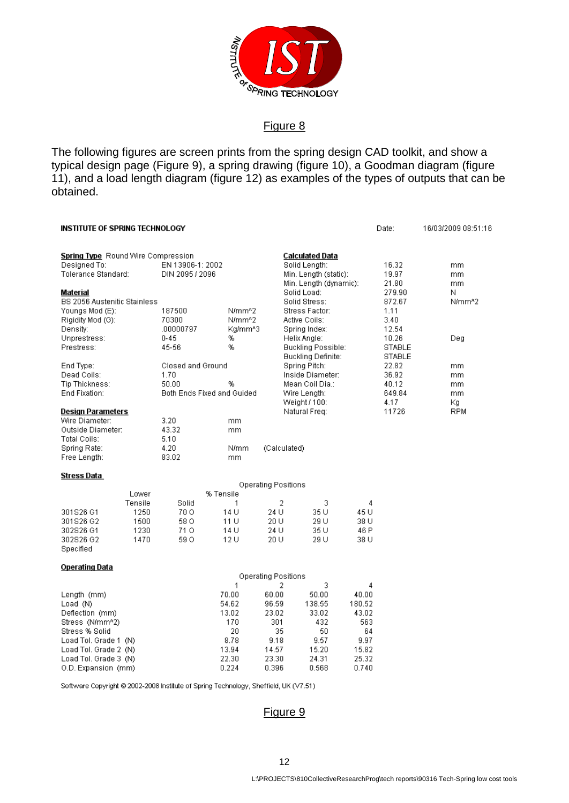

#### Figure 8

The following figures are screen prints from the spring design CAD toolkit, and show a typical design page (Figure 9), a spring drawing (figure 10), a Goodman diagram (figure 11), and a load length diagram (figure 12) as examples of the types of outputs that can be obtained.

| INSTITUTE OF SPRING TECHNOLOGY                                                                                                                                                    |                                                                  |                                                                              |                                                                                           |                                                                                       |                                                                     |                                                                               | Date:                                     | 16/03/2009 08:51:16           |  |
|-----------------------------------------------------------------------------------------------------------------------------------------------------------------------------------|------------------------------------------------------------------|------------------------------------------------------------------------------|-------------------------------------------------------------------------------------------|---------------------------------------------------------------------------------------|---------------------------------------------------------------------|-------------------------------------------------------------------------------|-------------------------------------------|-------------------------------|--|
| <b>Spring Type</b> Round Wire Compression<br>Designed To:<br>Tolerance Standard:                                                                                                  | EN 13906-1: 2002<br>DIN 2095 / 2096                              |                                                                              |                                                                                           | Calculated Data<br>Solid Length:<br>Min. Length (static):                             |                                                                     |                                                                               | 16.32<br>19.97                            | mm.<br>mm.                    |  |
| Material<br><b>BS 2056 Austenitic Stainless</b><br>Youngs Mod (E):<br>Rigidity Mod (G):                                                                                           | 187500<br>70300                                                  | N/mm^2<br>N/mm^2                                                             | Min. Length (dynamic):<br>Solid Load:<br>Solid Stress:<br>Stress Factor:<br>Active Coils: |                                                                                       |                                                                     | 21.80<br>279.90<br>872.67<br>1.11<br>3.40                                     | mm.<br>Ν<br>N/mm <sup>n</sup> 2           |                               |  |
| Density:<br>Unprestress:<br>Prestress:                                                                                                                                            | .00000797<br>$0 - 45$<br>45-56                                   | Ka/mm^3<br>%<br>%                                                            |                                                                                           | Spring Index:<br>Helix Angle:<br>Buckling Possible:<br>Buckling Definite:             |                                                                     |                                                                               | 12.54<br>10.26<br>STABLE<br>STABLE        | Deg                           |  |
| End Type:<br>Dead Coils:<br>Tip Thickness:<br>End Fixation:                                                                                                                       | Closed and Ground<br>1.70<br>50.00<br>Both Ends Fixed and Guided | %                                                                            |                                                                                           | Spring Pitch:<br>Inside Diameter:<br>Mean Coil Dia.:<br>Wire Length:<br>Weight / 100: |                                                                     |                                                                               | 22.82<br>36.92<br>40.12<br>649.84<br>4.17 | mm.<br>mm<br>mm.<br>mm<br>Kg. |  |
| <b>Design Parameters</b><br>Wire Diameter:<br>Outside Diameter:<br>Total Coils:<br>Spring Rate:<br>Free Length:                                                                   | 3.20<br>43.32<br>5.10<br>4.20<br>83.02                           | mm.<br>mm.<br>N/mm<br>mm.                                                    |                                                                                           | Natural Freq:<br>(Calculated)                                                         |                                                                     |                                                                               | 11726                                     | <b>RPM</b>                    |  |
| Stress Data                                                                                                                                                                       |                                                                  |                                                                              |                                                                                           |                                                                                       |                                                                     |                                                                               |                                           |                               |  |
|                                                                                                                                                                                   |                                                                  |                                                                              | Operating Positions                                                                       |                                                                                       |                                                                     |                                                                               |                                           |                               |  |
| Lower<br>Tensile                                                                                                                                                                  | % Tensile<br>Solid                                               | 1                                                                            | $\overline{2}$                                                                            |                                                                                       | 3                                                                   | 4                                                                             |                                           |                               |  |
| 1250<br>301S26 G1<br>301S26 G2<br>1500<br>1230<br>302S26 G1<br>302S26 G2<br>1470<br>Specified                                                                                     | 700<br>58 O<br>710<br>590                                        | 14 U<br>11 U<br>14 U<br>12 U                                                 | 24 U<br>20 U<br>24 U<br>20 U                                                              |                                                                                       | 35 U<br>29 U<br>35 U<br>29 U                                        | 45 U<br>38 U<br>46 P<br>38 U                                                  |                                           |                               |  |
| <b>Operating Data</b>                                                                                                                                                             |                                                                  |                                                                              |                                                                                           |                                                                                       |                                                                     |                                                                               |                                           |                               |  |
|                                                                                                                                                                                   |                                                                  |                                                                              | Operating Positions                                                                       |                                                                                       |                                                                     |                                                                               |                                           |                               |  |
| Length (mm)<br>Load (N)<br>Deflection (mm)<br>Stress (N/mm^2)<br>Stress % Solid<br>Load Tol. Grade 1 (N)<br>Load Tol. Grade 2 (N)<br>Load Tol. Grade 3 (N)<br>O.D. Expansion (mm) |                                                                  | 1<br>70.00<br>54.62<br>13.02<br>170<br>20<br>8.78<br>13.94<br>22.30<br>0.224 | 2<br>60.00<br>96.59<br>23.02<br>301<br>35<br>9.18<br>14.57<br>23.30<br>0.396              | 138.55                                                                                | 3<br>50.00<br>33.02<br>432<br>50<br>9.57<br>15.20<br>24.31<br>0.568 | 4<br>40.00<br>180.52<br>43.02<br>563<br>64<br>9.97<br>15.82<br>25.32<br>0.740 |                                           |                               |  |

Software Copyright @ 2002-2008 Institute of Spring Technology, Sheffield, UK (V7.51)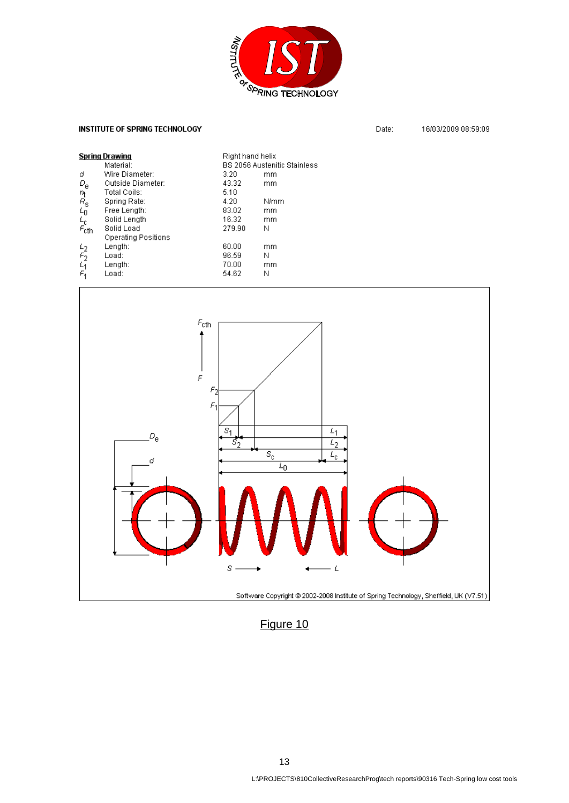

#### **INSTITUTE OF SPRING TECHNOLOGY**

Date: 16/03/2009 08:59:09

|                                                                                                | <b>Spring Drawing</b> | Right hand helix |                                     |  |  |
|------------------------------------------------------------------------------------------------|-----------------------|------------------|-------------------------------------|--|--|
|                                                                                                | Material:             |                  | <b>BS 2056 Austenitic Stainless</b> |  |  |
| d                                                                                              | Wire Diameter:        | 3.20             | mm                                  |  |  |
|                                                                                                | Outside Diameter:     | 43.32            | mm                                  |  |  |
|                                                                                                | Total Coils:          | 5.10             |                                     |  |  |
| $\begin{array}{l} D_{\rm e} \\ n_{\rm t} \\ E_{\rm 0} \\ L_{\rm c} \\ F_{\rm cth} \end{array}$ | Spring Rate:          | 4.20             | N/mm                                |  |  |
|                                                                                                | Free Length:          | 83.02            | mm                                  |  |  |
|                                                                                                | Solid Length          | 16.32            | mm                                  |  |  |
|                                                                                                | Solid Load            | 279.90           | Ν                                   |  |  |
|                                                                                                | Operating Positions   |                  |                                     |  |  |
|                                                                                                | Length:               | 60.00            | mm                                  |  |  |
|                                                                                                | Load:                 | 96.59            | Ν                                   |  |  |
| $\frac{L_2}{F_2}$                                                                              | Length:               | 70.00            | mm                                  |  |  |
| $\epsilon_{1}$                                                                                 | Load:                 | 54.62            | Ν                                   |  |  |

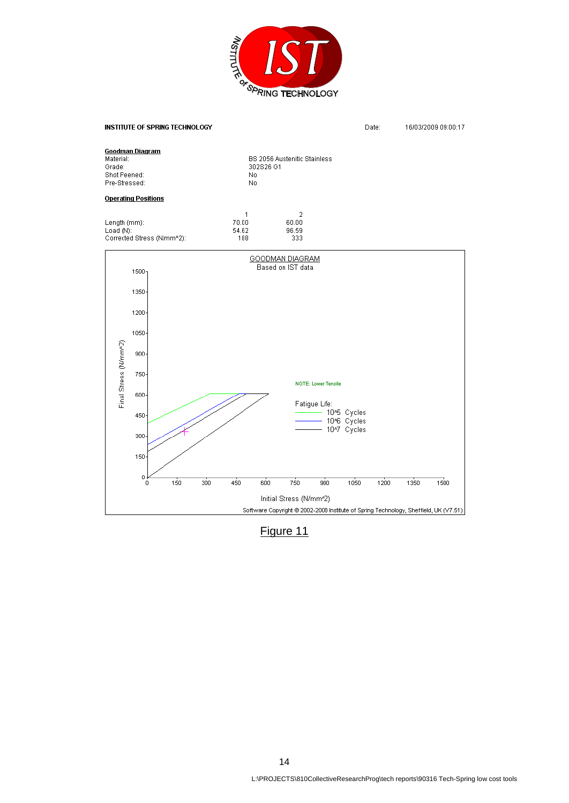

**INSTITUTE OF SPRING TECHNOLOGY** 

Date: 16/03/2009 09:00:17

| <b>Goodman Diagram</b><br>Material:<br>Grade:<br>Shot Peened:<br>Pre-Stressed: |     |     | No.                        | <b>BS 2056 Austenitic Stainless</b><br>302S26 G1<br>No |                                         |                     |                           |      |      |                                                                                      |
|--------------------------------------------------------------------------------|-----|-----|----------------------------|--------------------------------------------------------|-----------------------------------------|---------------------|---------------------------|------|------|--------------------------------------------------------------------------------------|
| <b>Operating Positions</b>                                                     |     |     |                            |                                                        |                                         |                     |                           |      |      |                                                                                      |
| Length (mm):<br>Load (N):<br>Corrected Stress (N/mm^2):                        |     |     | 1<br>70.00<br>54.62<br>188 |                                                        | $\overline{2}$<br>60.00<br>96.59<br>333 |                     |                           |      |      |                                                                                      |
|                                                                                |     |     |                            | GOODMAN DIAGRAM                                        |                                         |                     |                           |      |      |                                                                                      |
| $1500 -$                                                                       |     |     |                            |                                                        | Based on IST data                       |                     |                           |      |      |                                                                                      |
| $1350 -$                                                                       |     |     |                            |                                                        |                                         |                     |                           |      |      |                                                                                      |
| $1200 -$                                                                       |     |     |                            |                                                        |                                         |                     |                           |      |      |                                                                                      |
| $1050 -$                                                                       |     |     |                            |                                                        |                                         |                     |                           |      |      |                                                                                      |
| Final Stress (N/mm^2)<br>$900 -$                                               |     |     |                            |                                                        |                                         |                     |                           |      |      |                                                                                      |
| 750-                                                                           |     |     |                            |                                                        |                                         |                     |                           |      |      |                                                                                      |
| 600-                                                                           |     |     |                            |                                                        |                                         | NOTE: Lower Tensile |                           |      |      |                                                                                      |
| 450                                                                            |     |     |                            |                                                        |                                         | Fatigue Life:       | 10% Cycles                |      |      |                                                                                      |
| 300                                                                            |     |     |                            |                                                        |                                         |                     | 10% Cycles<br>1047 Cycles |      |      |                                                                                      |
|                                                                                |     |     |                            |                                                        |                                         |                     |                           |      |      |                                                                                      |
| 150                                                                            |     |     |                            |                                                        |                                         |                     |                           |      |      |                                                                                      |
| 0<br>ó                                                                         | 150 | 300 | 450                        | 600                                                    | 750                                     | 900                 | 1050                      | 1200 | 1350 | 1500                                                                                 |
|                                                                                |     |     |                            |                                                        | Initial Stress (N/mm^2)                 |                     |                           |      |      |                                                                                      |
|                                                                                |     |     |                            |                                                        |                                         |                     |                           |      |      | Software Copyright @ 2002-2008 Institute of Spring Technology, Sheffield, UK (V7.51) |

Figure 11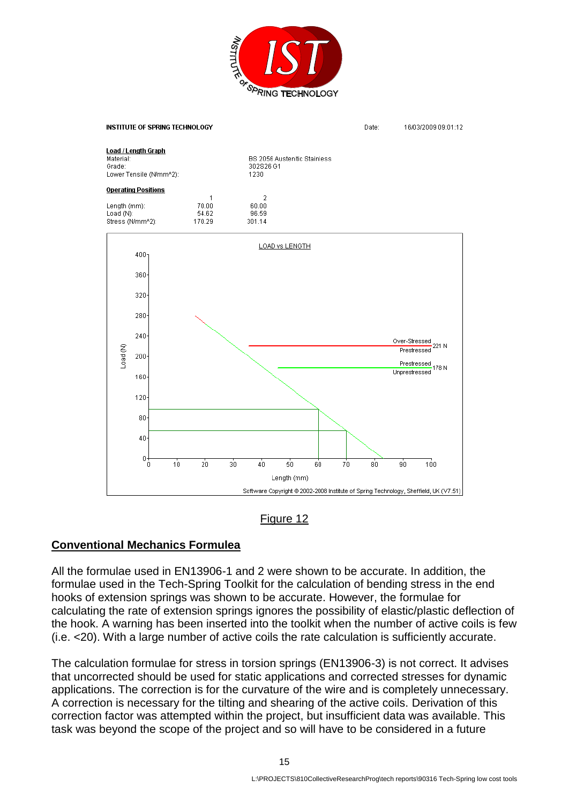



#### Figure 12

#### **Conventional Mechanics Formulea**

All the formulae used in EN13906-1 and 2 were shown to be accurate. In addition, the formulae used in the Tech-Spring Toolkit for the calculation of bending stress in the end hooks of extension springs was shown to be accurate. However, the formulae for calculating the rate of extension springs ignores the possibility of elastic/plastic deflection of the hook. A warning has been inserted into the toolkit when the number of active coils is few (i.e. <20). With a large number of active coils the rate calculation is sufficiently accurate.

The calculation formulae for stress in torsion springs (EN13906-3) is not correct. It advises that uncorrected should be used for static applications and corrected stresses for dynamic applications. The correction is for the curvature of the wire and is completely unnecessary. A correction is necessary for the tilting and shearing of the active coils. Derivation of this correction factor was attempted within the project, but insufficient data was available. This task was beyond the scope of the project and so will have to be considered in a future